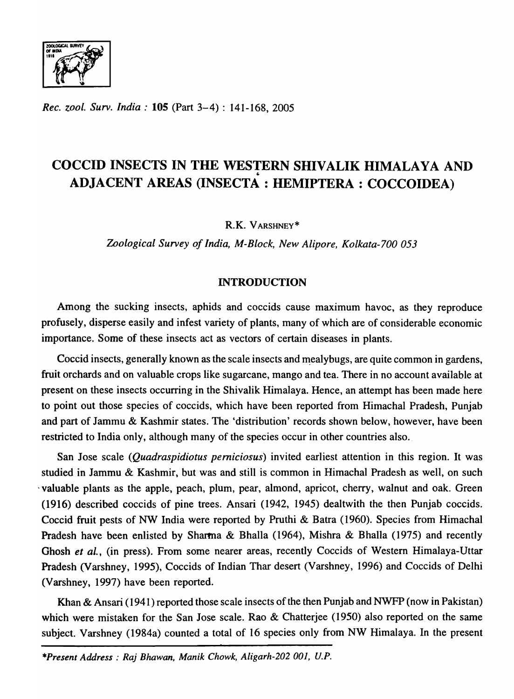

*Rec. zool. Surv. India:* **105** (Part 3-4): 141-168, 2005

# COCCID INSECTS IN THE WESTERN SHIVALIK HIMALAYA AND ADJACENT AREAS (INSECTA: HEMIPTERA: COCCOIDEA)

R.K. V ARSHNEY\*

*Zoological Survey of India, M-Block, New Alipore, Kolkata-700 053* 

## INTRODUCTION

Among the sucking insects, aphids and coccids cause maximum havoc, as they reproduce profusely, disperse easily and infest variety of plants, many of which are of considerable economic importance. Some of these insects act as vectors of certain diseases in plants.

Coccid insects, generally known as the scale insects and mealybugs, are quite common in gardens, fruit orchards and on valuable crops like sugarcane, mango and tea. There in no account available at present on these insects occurring in the Shivalik Himalaya. Hence, an attempt has been made here to point out those species of coccids, which have been reported from Himachal Pradesh, Punjab and part of Jammu & Kashmir states. The 'distribution' records shown below, however, have been restricted to India only, although many of the species occur in other countries also.

San Jose scale *(Quadraspidiotus pemiciosus)* invited earliest attention in this region. It was studied in Jammu & Kashmir, but was and still is common in Himachal Pradesh as well, on such 'valuable plants as the apple, peach, plum, pear, almond, apricot, cherry, walnut and oak. Green (1916) described coccids of pine trees. Ansari (1942, 1945) dealtwith the then Punjab coccids. Coccid fruit pests of NW India were reported by Pruthi & Batra (1960). Species from Himachal Pradesh have been enlisted by Sharma & Bhalla (1964), Mishra & Bhalla (1975) and recently Ghosh *et al.,* (in press). From some nearer areas, recently Coccids of Western Himalaya-Uttar Pradesh (Varshney, 1995), Coccids of Indian Thar desert (Varshney, 1996) and Coccids of Delhi (Varshney, 1997) have been reported.

Khan & Ansari (1941) reported those scale insects of the then Punjab and NWFP (now in Pakistan) which were mistaken for the San Jose scale. Rao & Chatterjee (1950) also reported on the same subject. Varshney (1984a) counted a total of 16 species only from NW Himalaya. In the present

*\*Present Address: Raj Bhawan, Manik Chowk, Aligarh-202 001, V.P.*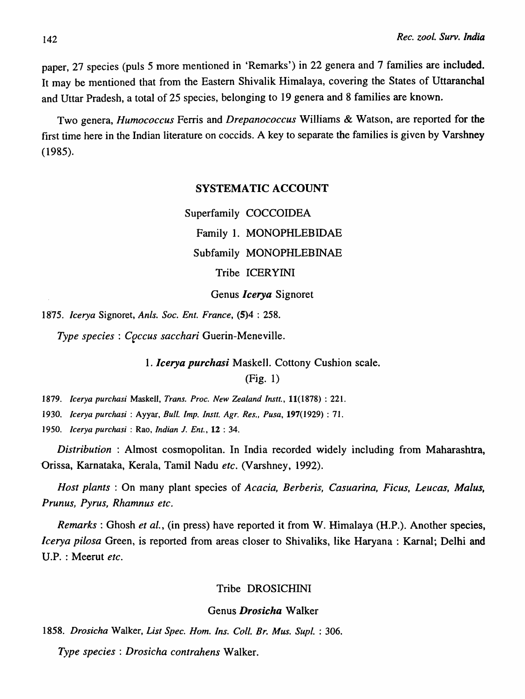paper, 27 species (puls 5 more mentioned in 'Remarks') in 22 genera and 7 families are included. It may be mentioned that from the Eastern Shivalik Himalaya, covering the States of Uttaranchal and Uttar Pradesh, a total of 25 species, belonging to 19 genera and 8 families are known.

Two genera, *Humococcus* Ferris and *Drepanococcus* Williams & Watson, are reported for the first time here in the Indian literature on coccids. A key to separate the families is given by Varshney (1985).

## SYSTEMATIC ACCOUNT

Superfamily COCCOIDEA Family 1. MONOPHLEBIDAE Subfamily MONOPHLEBINAE Tribe ICERYINI

## Genus *leerya* Signoret

*1875. Icerya* Signoret, *Anls. Soc. Ent. France,* (5)4 : 258.

*Type species: Coccus sacchari Guerin-Meneville.* 

*1. leerya purehasi* Maskell. Cottony Cushion scale. (Fig. 1)

*1879. /cerya purchasi* Maskell, *Trans. Proc. New Zealand instt.,* 11(1878) : 221.

*1930. Icerya purchasi* : Ayyar, *Bull. Imp. Instt. Agr. Res., Pusa,* 197(1929) : 71.

*1950. Icerya purchasi* : Rao, *Indian* J. *Ent.,* 12 : 34.

*Distribution* : Almost cosmopolitan. In India recorded widely including from Maharashtra, Orissa, Karnataka, Kerala, Tamil Nadu *etc.* (Varshney, 1992).

*Host plants* : On many plant species of *Acacia, Berberis, Casuarina, Ficus, Leucas, Malus, Prunus, Pyrus, Rhamnus etc.* 

*Remarks:* Ghosh *et al.,* (in press) have reported it from W. Himalaya (H.P.). Another species, *Icerya pilosa* Green, is reported from areas closer to Shivaliks, like Haryana : Karnal; Delhi and U.P. : Meerut *etc.* 

## Tribe DROSICHINI

#### Genus *Drosieha* Walker

1858. *Drosicha* Walker, *List Spec. Hom. Ins. Coil. Br. Mus. Supl.* : 306.

*Type species: Drosicha contrahens* Walker.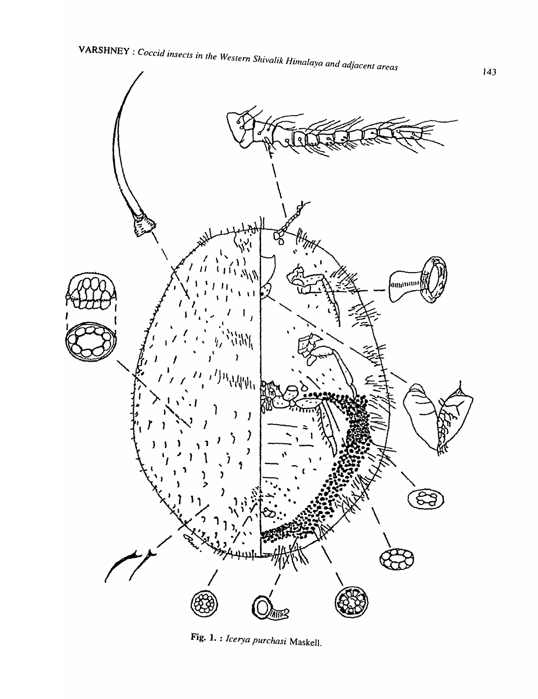

Fig. 1. : Icerya purchasi Maskell.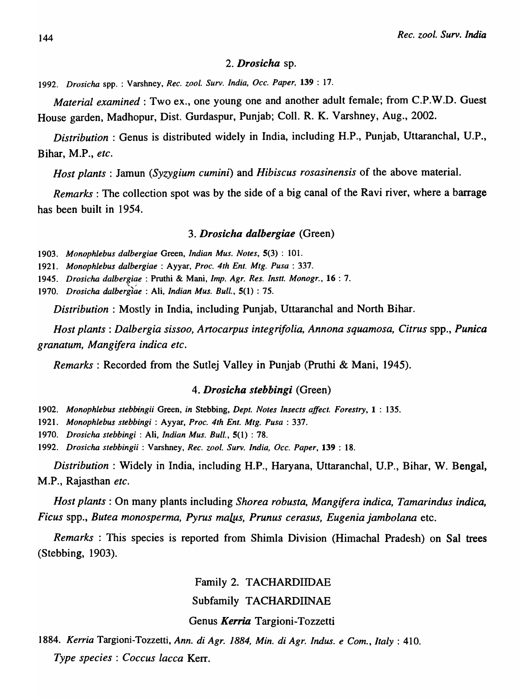## *2. Drosicha* sp.

*1992. Drosicha* spp. : Varshney, *Rec. zool. Surv. India, Dcc. Paper,* 139 : 17.

*Material examined:* Two ex., one young one and another adult female; from C.P.W.D. Guest House garden, Madhopur, Dist. Gurdaspur, Punjab; Coli. R. K. Varshney, Aug., 2002.

*Distribution:* Genus is distributed widely in India, including H.P., Punjab, Uttaranchal, U.P., Bihar, M.P., *etc.* 

*Host plants:* Jamun *(Syzygium cumini)* and *Hibiscus rosasinensis* of the above material.

*Remarks:* The collection spot was by the side of a big canal of the Ravi river, where a barrage has been built in 1954.

#### *3. Drosicha dalbergiae* (Green)

*1903. Monophlebus dalbergiae* Green, *Indian Mus. Notes,* 5(3) : 101.

*1921. Monophlebus dalbergiae* : Ayyar, *Proc. 4th Ent. Mtg. Pusa* : 337.

*1945. Drosicha dalbergiae* : Pruthi & Mani, *Imp. Agr. Res. Instt. Monogr.,* 16 : 7.

*1970. Drosicha* dalbergl~e : Ali, *Indian Mus. Bull.,* 5(1) : 75.

*Distribution:* Mostly in India, including Punjab, Uttaranchal and North Bihar.

*Host plants: Dalbergia sissoo, Artocarpus integrifolia, Annona squamosa, Citrus* spp., *Punica granatum, Mangifera indica etc.* 

*Remarks:* Recorded from the Sutlej Valley in Punjab (Pruthi & Mani, 1945).

#### *4. Drosicha stebbingi* (Green)

*1902. Monophlebus stebbingii* Green, *in* Stebbing, *Dept. Notes Insects affect. Forestry,* 1 : 135.

*1921. Monophlebus stebbingi* : Ayyar, *Proc. 4th Ent. Mtg. Pusa* : 337.

*1970. Drosicha stebbingi* : Ali, *Indian Mus. Bull.,* 5(1) : 78.

*1992. Drosicha stebbingii* : Varshney, *Rec. zool. Surv. India, dec. Paper,* 139 : 18.

*Distribution:* Widely in India, including H.P., Haryana, Uttaranchal, U.P., Bihar, W. Bengal, M.P., Rajasthan *etc.* 

*Host plants:* On many plants including *Shorea robusta, Mangifera indica, Tamarindus indica, Ficus* spp., *Butea monosperma, Pyrus maL.us, Prunus cerasus, Eugenia jambolana* etc.

*Remarks* : This species is reported from Shimla Division (Himachal Pradesh) on Sal trees (Stebbing, 1903).

## Family 2. TACHARDIIDAE

Subfamily TACHARDIINAE

## Genus *Kerria* Targioni-Tozzetti

*1884. Kerria* Targioni-Tozzetti, *Ann. di Agr.* 1884, *Min. di Agr. Indus. e Com., Italy: 410. Type species: Coccus lacca* Kerr.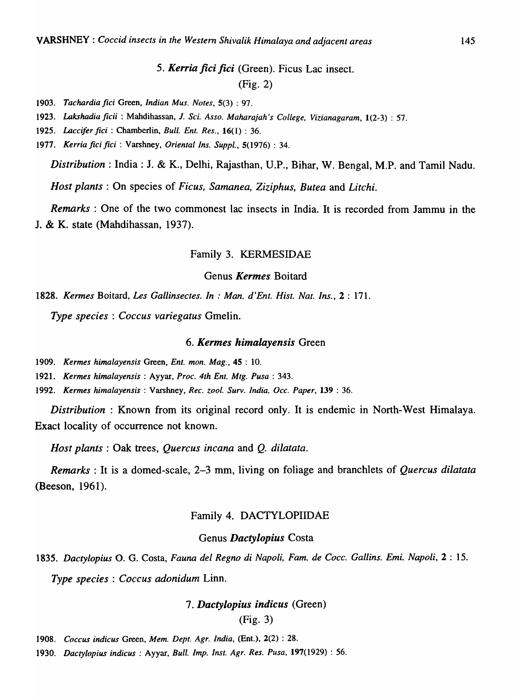## 5. Kerria fici fici (Green). Ficus Lac insect. (Fig. 2)

*1903. Tachardia fici* Green, *Indian Mus. Notes,* 5(3) : 97.

- *1923. Lakshadia ficii* : Mahdihassan, 1. *Sci. Asso. Maharajah's College. Vizianagaram.* 1(2-3) : 57.
- *1925. Laccifer fici* : Chamberlin. *Bull. Ent. Res .•* 16(1) : 36.
- *1977. Kerria fici fici* : Varshney, *Oriental Ins. Suppl.,* 5(1976) : 34.

*Distribution:* India: J. & K., Delhi, Rajasthan, U.P., Bihar, W. Bengal, M.P. and Tamil Nadu.

*Host plants:* On species of *Ficus, Samanea, Ziziphus, Butea* and *Litchi.* 

*Remarks* : One of the two commonest lac insects in India. It is recorded from Jammu in the J. & K. state (Mahdihassan, 1937).

## Family 3. KERMESIDAE

## Genus *Kermes* Boitard

*1828. Kermes* Boitard, *Les Gallinsectes. In* : *Man. d'Ent. Hist. Nat. Ins.,* 2 : 171.

*Type species* : *Coccus variegatus* Gmelin.

#### *6. Kermes himalayensis* Green

1909. *Kermes himalayensis Green, Ent. mon. Mag.*, 45:10.

*1921. Kermes himalayensis* : Ayyar, *Proc. 4th Ent. Mtg. Pusa* : 343.

*1992. Kermes himalayensis* : Varshney, *Rec. zool. Surv. India, Occ. Paper,* 139 : 36.

*Distribution:* Known from its original record only. It is endemic in North-West Himalaya. Exact locality of occurrence not known.

*Host plants:* Oak trees, *Quercus incana* and Q. *dilatata.* 

*Remarks* : It is a domed-scale, 2-3 mm, living on foliage and branchlets of *Quercus dilatata*  (Beeson, 1961).

#### Family 4. DACTYLOPIIDAE

#### Genus *Daetylopius* Costa

*1835. Dactylopius* O. G. Costa, *Fauna del Regno di Napoli, Fam. de Cocco Gallins. Emi. Napoli,* 2 : 15. *Type species* : *Coccus adonidum* Linn.

## *7. Daetylopius indicus* (Green)

#### (Fig. 3)

*1908. Coccus indicus* Green, *Mem. Dept. Agr. India,* (Ent.). 2(2) : 28.

*1930. Dactylopius indicus* : Ayyar, *Bull. Imp. Inst. Agr. Res. Pusa,* 197(1929) : 56.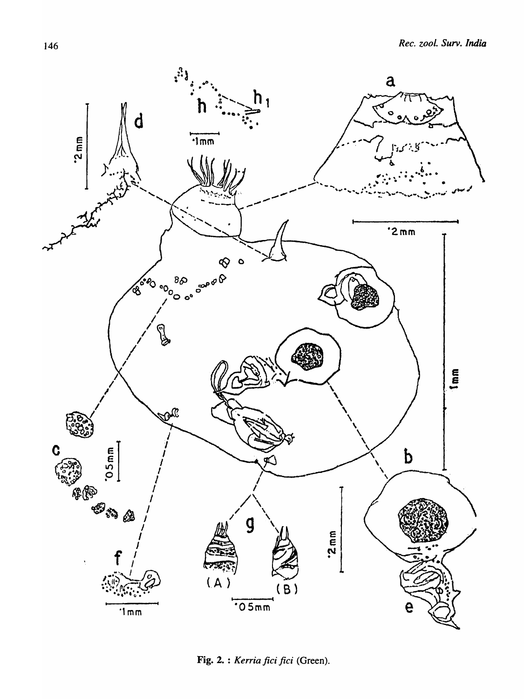

Fig. 2. : Kerria fici fici (Green).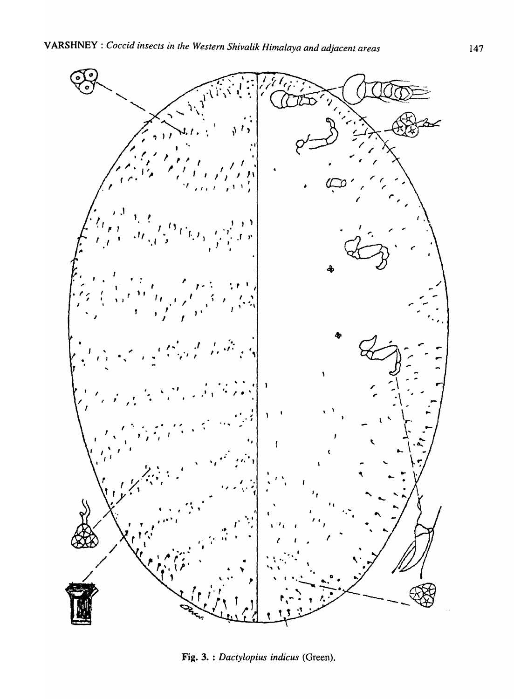

Fig. 3. : Dactylopius indicus (Green).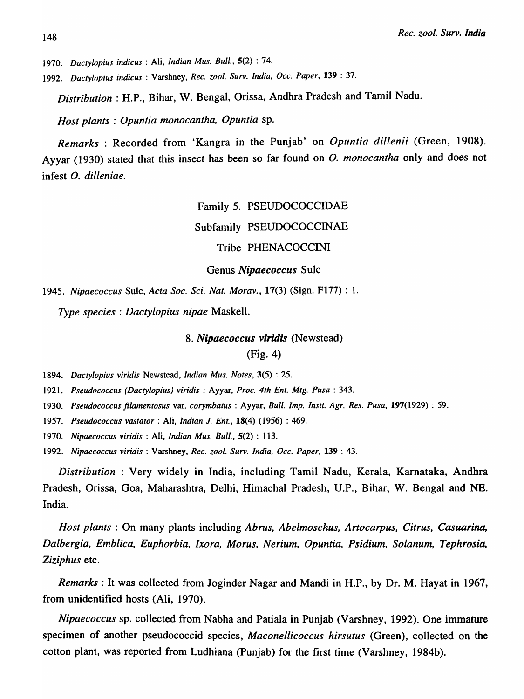<sup>148</sup>*Rec. zoo I. Surv. India* 

*1970. Daetylopius indicus* : Ali, *Indian Mus. Bull.,* 5(2) : 74.

*1992. Daetylopius indieus* : Varshney, *Ree. zool. Surv. India, Dec. Paper,* 139 : 37.

*Distribution* : H.P., Bihar, W. Bengal, Orissa, Andhra Pradesh and Tamil Nadu.

*Host plants* : *Opuntia monocantha, Opuntia* sp.

*Remarks:* Recorded from 'Kangra in the Punjab' on *Opuntia dillenii* (Green, 1908). Ayyar (1930) stated that this insect has been so far found on *O. monocantha* only and does not infest *O. dilleniae.* 

> Family 5. PSEUDOCOCCIDAE Subfamily PSEUDOCOCCINAE

> > Tribe PHENACOCCINI

Genus *Nipaecoccus* Sulc

*1945. Nipaecoccus* Sulc, *Acta Soc. Sci. Nat. Morav.,* 17(3) (Sign. F177) : 1.

*Type species: Dactylopius nipae* Maskell.

*8. Nipaecoccus viridis* (Newstead)

(Fig. 4)

*1894. Daetylopius viridis* Newstead, *Indian Mus. Notes,* 3(5) : 25.

*1921. Pseudoeoecus (Daetylopius) viridis:* Ayyar, *Proc. 4th Ent. Mtg. Pusa* : 343.

- *1930. Pseudococcus Jilamentosus* var. *corymbatus* : Ayyar, *Bull. Imp. Instt. Agr. Res. Pusa,* 197(1929) : 59.
- *1957. Pseudococcus vastator* : Ali, *Indian* 1. *Ent.,* 18(4) (1956) : 469.

*1970. Nipaecoccus viridis:* Ali, *Indian Mus. Bull.,* 5(2) : 113.

*1992. Nipaecoccus viridis:* Varshney, *Rec. zool. Surv. India, Dec. Paper,* 139 : 43.

*Distribution* : Very widely in India, including Tamil Nadu, Kerala, Karnataka, Andhra Pradesh, Orissa, Goa, Maharashtra, Delhi, Himachal Pradesh, U.P., Bihar, W. Bengal and NE. India.

*Host plants* : On many plants including *Abrus, Abelmoschus, Artocarpus, Citrus, Casuarina, Dalbergia, Emblica, Euphorbia, /xora, Morus, Nerium, Opuntia, Psidium, Solanum, Tephrosia, Ziziphus* etc.

*Remarks:* It was collected from Joginder Nagar and Mandi in H.P., by Dr. M. Hayat in 1967, from unidentified hosts (Ali, 1970).

*Nipaecoccus* sp. collected from Nabha and Patiala in Punjab (Varshney, 1992). One immature specimen of another pseudococcid species, *Maconellicoccus hirsutus* (Green), collected on the cotton plant, was reported from Ludhiana (Punjab) for the first time (Varshney, 1984b).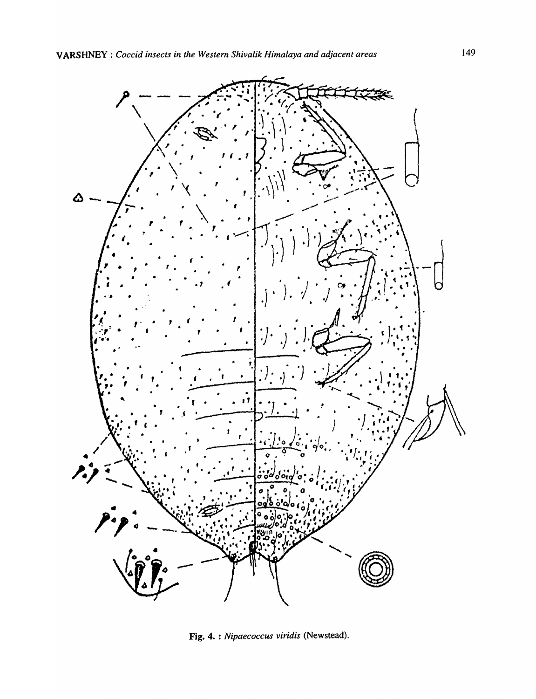

Fig. 4. : Nipaecoccus viridis (Newstead).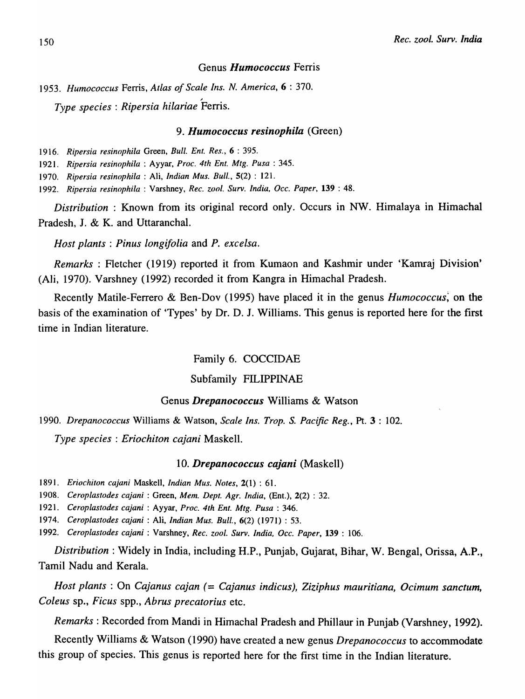#### Genus *Humococcus* Ferris

*1953. Humococcus* Ferris, *Atlas of Scale Ins. N. America,* 6 : 370.

~ *Type species: Ripersia hilariae* Ferris.

#### *9. Humococcus resinophila* (Green)

*1916. Ripersia resinophila* Green, *Bull. Ent. Res.,* 6 : 395.

*1921. Ripersia resinophila* : Ayyar, *Proc. 4th Ent. Mtg. Pusa* : 345.

*1970. Ripersia resinophila* : Ali, *Indian Mus. Bull.,* 5(2) : 121.

*1992. Ripersia resinophila* : Varshney, *Rec. zool. Surv. India, Occ. Paper,* 139 : 48.

*Distribution* : Known from its original record only. Occurs in NW. Himalaya in Himachal Pradesh, J. & K. and Uttaranchal.

*Host plants: Pinus longifolia* and *P. excelsa.* 

*Remarks:* Fletcher (1919) reported it from Kumaon and Kashmir under 'Kamraj Division' (Ali, 1970). Varshney (1992) recorded it from Kangra in Himachal Pradesh.

Recently Matile-Ferrero & Ben-Dov (1995) have placed it in the genus *Humococcus;* on the basis of the examination of 'Types' by Dr. D. J. Williams. This genus is reported here for the first time in Indian literature.

Family 6. COCCIDAE

## Subfamily FILIPPINAE

## Genus *Drepanococcus* Williams & Watson

*1990. Drepanococcus* Williams & Watson, *Scale Ins. Trop. S. Pacific Reg.,* Pt. 3 : 102.

*Type species: Eriochiton cajani* Maskell.

## *10. Drepanococcus cajani* (Maskell)

*1891. Eriochiton cajani* Maskell, *Indian Mus. Notes,* 2(1) : 61.

*1908. Ceroplastodes cajani* : Green, *Mem. Dept. Agr. India,* (Ent.), 2(2) : 32.

*1921. Ceroplastodes cajani* : Ayyar, *Proc. 4th Ent. Mtg. Pusa* : 346.

*1974. Ceroplastodes cajani* : Ali, *Indian Mus. Bull.,* 6(2) (1971) : 53.

*1992. Ceroplastodes cajani* : Varshney, *Rec. zool. Surv. India, Occ. Paper,* 139 : 106.

*Distribution:* Widely in India, including H.P., Punjab, Gujarat, Bihar, W. Bengal, Orissa, A.P., Tamil Nadu and Kerala.

*Host plants:* On *Cajanus cajan* (= *Cajanus indicus), Ziziphus mauritiana, Ocimum sanctum, Coleus* sp., *Ficus* spp., *Abrus precatorius* etc.

*Remarks:* Recorded from Mandi in Himachal Pradesh and Phillaur in Punjab (Varshney, 1992).

Recently Williams & Watson (1990) have created a new genus *Drepanococcus* to accommodate this group of species. This genus is reported here for the first time in the Indian literature.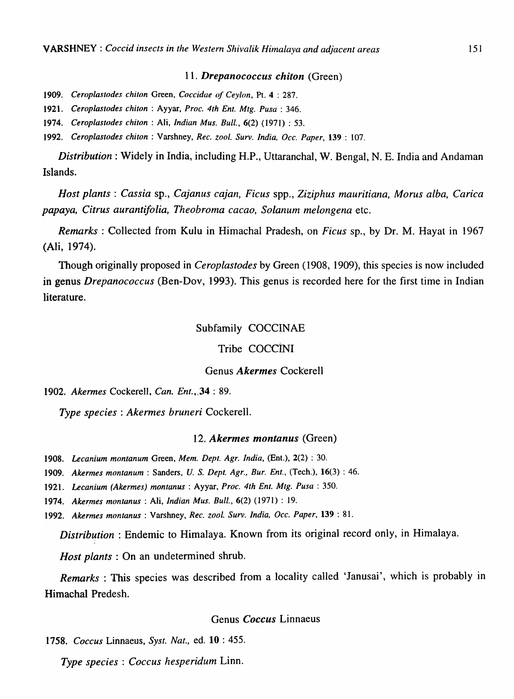#### *11. Drepanococcus chiton* (Green)

*1909. Ceroplastodes chiton* Green, *Coccidae of Ceylon,* Pt. 4 : 287.

*1921. Ceroplastodes chiton:* Ayyar, *Proc. 4th Ent. Mtg. Pusa* : 346.

*1974. Ceroplastodes chiton:* Ali, *Indian Mus. Bull.,* 6(2) (1971) : 53.

*1992. Ceroplastodes chiton:* Varshney, *Rec. zoo I. Surv. India, Dcc. Paper,* 139 : 107.

*Distribution:* Widely in India, including H.P., Uttaranchal, W. Bengal, N. E. India and Andaman Islands.

*Host plants: Cassia sp., Cajanus cajan, Ficus spp., Ziziphus mauritiana, Morus alba, Carica papaya, Citrus aurantifolia, Theobroma cacao, Solanum melongena* etc.

*Remarks* : Collected from Kulu in Himachal Pradesh, on *Ficus* sp., by Dr. M. Hayat in 1967 (Ali, 1974).

Though originally proposed in *Ceroplastodes* by Green (1908, 1909), this species is now included in genus *Drepanococcus* (Ben-Dov, 1993). This genus is recorded here for the first time in Indian literature.

## Subfamily COCCINAE

## Tribe COCCINI

#### Genus *Akermes* Cockerell

## *1902. Akermes* Cockerell, *Can. Ent.,.34* : 89.

*Type species: Akermes bruneri* Cockerell.

#### *12. Akermes montanus* (Green)

*1908. Lecanium montanum* Green, *Mem. Dept. Agr. India,* (Ent.), 2(2) : 30.

*1909. Akermes montanum* : Sanders, *U.* S. *Dept. Agr., Bur. Ent.,* (Tech.), 16(3) : 46.

*1921. Lecanium (Akermes) montanus* : Ayyar, *Proc. 4th Ent. Mtg. Pusa* : 350.

*1974. Aker.mes montanus* : Ali, *Indian Mus. Bull.,* 6(2) (1971) : 19.

*1992. Akermes montanus* : Varshney, *Rec. zool. Surv. India, Dcc. Paper,* 139 : 81.

*Distribution* : Endemic to Himalaya. Known from its original record only, in Himalaya.

*Host plants:* On an undetermined shrub.

*Remarks:* This species was described from a locality called 'Janusai', which is probably in Himachal Predesh.

## Genus *Coccus* Linnaeus

*1758. Coccus* Linnaeus, *Syst. Nat.,* ed. 10 : 455.

*Type species: Coccus hesperidum* Linn.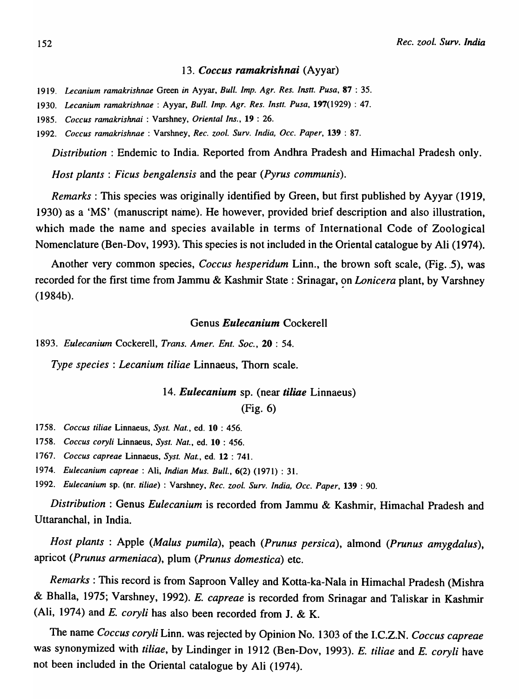#### *13. Coccus ramakrishnai* (Ayyar)

*1919. Lecanium ramakrishnae* Green *in* Ayyar, *Bull. Imp. Agr. Res. Instt. Pusa,* 87 : 35.

*1930. Lecanium ramakrishnae* : Ayyar, *Bull. Imp. Agr. Res. Instt. Pusa,* 197(1929) : 47.

*1985. Coccus ramakrishnai* : Varshney, *Oriental Ins.,* 19 : 26.

*1992. Coccus ramakrishnae* : Varshney, *Rec. zool. Surv. India, Occ. Paper,* 139 : 87.

*Distribution* : Endemic to India. Reported from Andhra Pradesh and Himachal Pradesh only.

*Host plants: Ficus bengalensis* and the pear *(Pyrus communis).* 

*Remarks:* This species was originally identified by Green, but first published by Ayyar (1919, 1930) as a 'MS' (manuscript name). He however, provided brief description and also illustration, which made the name and species available in terms of International Code of Zoological Nomenclature (Ben-Dov, 1993). This species is not included in the Oriental catalogue by Ali (1974).

Another very common species, *Coccus hesperidum* Linn., the brown soft scale, (Fig. 5), was recorded for the first time from Jammu & Kashmir State: Srinagar, on *Lonicera* plant, by Varshney (1984b).

#### Genus *Eulecanium* Cockerell

*1893. Eulecanium* Cockerell, *Trans. Amer. Ent. Soc.,* 20 : 54.

*Type species* : *Lecanium tiliae* Linnaeus, Thorn scale.

## *14. Eulecanium* sp. (near *tiliae* Linnaeus)

(Fig. 6)

*1758. Coccus tiliae* Linnaeus, *Syst. Nat.,* ed. 10 : 456.

*1758. Coccus coryli* Linnaeus, *Syst. Nat.,* ed. 10 : 456.

*1767. Coccus capreae* Linnaeus, *Syst. Nat.,* ed. 12 : 741.

*1974. Eulecanium capreae* : Ali, *Indian Mus. Bull.,* 6(2) (1971) : 31.

*1992. Eulecanium* sp. (nr. *tiliae)* : Varshney, *Rec. zool. Surv. India, Occ. Paper,* 139 : 90.

*Distribution:* Genus *Eulecanium* is recorded from Jammu & Kashmir, Himachal Pradesh and Uttaranchal, in India.

*Host plants* : Apple *(Malus pumila),* peach *(Prunus persica),* almond *(Prunus amygdalus)*, apricot *(Prunus armeniaca),* plum *(Prunus domestica)* etc.

*Remarks:* This record is from Saproon Valley and Kotta-ka-Nala in Himachal Pradesh (Mishra & Bhalla, 1975; Varshney, 1992). *E. capreae* is recorded from Srinagar and Taliskar in Kashmir (Ali, 1974) and *E. coryli* has also been recorded from J. & K.

The name *Coccus coryli* Linn. was rejected by Opinion No. 1303 of the I.C.Z.N. *Coccus capreae*  was synonymized with *tiliae,* by Lindinger in 1912 (Ben-Dov, 1993). *E. tiliae* and *E. coryli* have not been included in the Oriental catalogue by Ali (1974).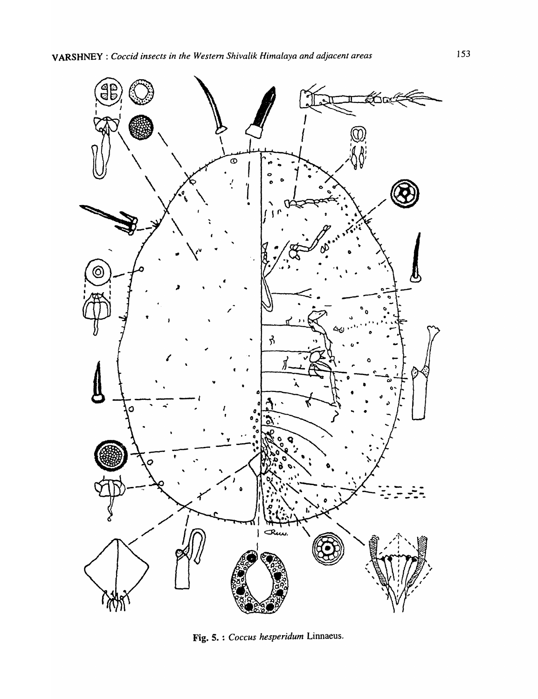

Fig. 5. : Coccus hesperidum Linnaeus.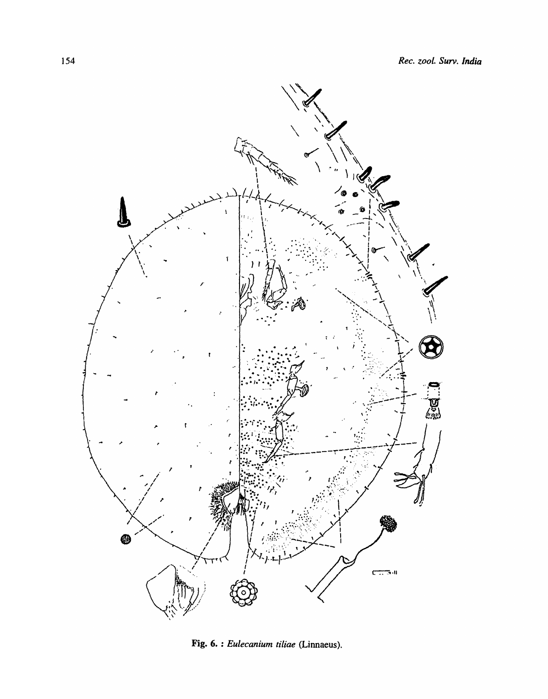

Fig. 6. : Eulecanium tiliae (Linnaeus).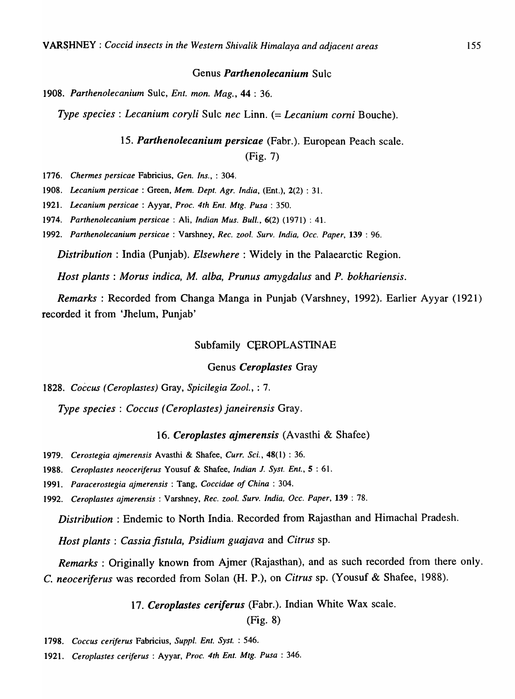#### Genus *Parthenolecanium* Sulc

1908. Parthenolecanium Sulc, *Ent. mon. Mag.*, 44: 36.

*Type species: Lecanium coryU* Sulc *nec* Linn. (= *Lecanium comi* Bouche).

#### *15. Parthenolecanium persicae* (Fabr.). European Peach scale.

(Fig. 7)

*1776. Chermes persicae* Fabricius, *Gen. Ins.,* : 304.

*1908. Lecanium persicae* : Green, *Mem. Dept. Agr. India,* (Ent.), 2(2) : 31.

*1921. Lecanium persicae* : Ayyar, *Proc. 4th Ent. Mtg. Pusa* : 350.

*1974. Parthenolecanium persicae* : Ali, *Indian Mus. Bull.,* 6(2) (1971) : 41.

*1992. Parthenolecanium persicae* : Varshney, *Rec. zool. Surv. India, Dcc. Paper,* 139 : 96.

*Distribution:* India (Punjab). *Elsewhere:* Widely in the Palaearctic Region.

*Host plants: Morus indica, M. alba, Prunus amygdalus* and *P. bokhariensis.* 

*Remarks* : Recorded from Changa Manga in Punjab (Varshney, 1992). Earlier Ayyar (1921) recorded it from 'Jhelum, Punjab'

#### Subfamily CEROPLASTINAE

#### Genus *Ceroplastes* Gray

*1828. Coccus (Ceroplastes)* Gray, *Spicilegia Zool.,* : 7.

*Type species* : *Coccus (Ceroplastes) janeirensis* Gray.

#### 16. Ceroplastes ajmerensis (Avasthi & Shafee)

1979. Cerostegia ajmerensis Avasthi & Shafee, Curr. Sci., 48(1): 36.

*1988. Ceroplastes neoceriferus* Yousuf & Shafee, *Indian* 1. *Syst. Ent.,* 5 : 61.

*1991. Paracerostegia ajmerensis* : Tang, *Coccidae of China: 304.* 

*1992. Ceroplastes ajmerensis* : V arshney, *Rec. zool. Surv. India, Dcc. Paper,* 139 : 78.

*Distribution:* Endemic to North India. Recorded from Rajasthan and Himachal Pradesh.

*Host plants: Cassia fistula, Psidium guajava* and *Citrus* sp.

*Remarks* : Originally known from Ajmer (Rajasthan), and as such recorded from there only. C. *neoceriferus* was recorded from Solan (H. P.), on *Citrus* sp. (Yousuf & Shafee, 1988).

*17. Ceroplastes ceriferus* (Fabr.). Indian White Wax scale.

(Fig. 8)

*<sup>1798.</sup> Coccus ceriferus* Fabricius, *Sup pl. Ent. Syst.* : 546.

*<sup>1921.</sup> Ceroplastes ceriferus* : Ayyar, *Proc. 4th Ent. Mtg. Pusa* : 346.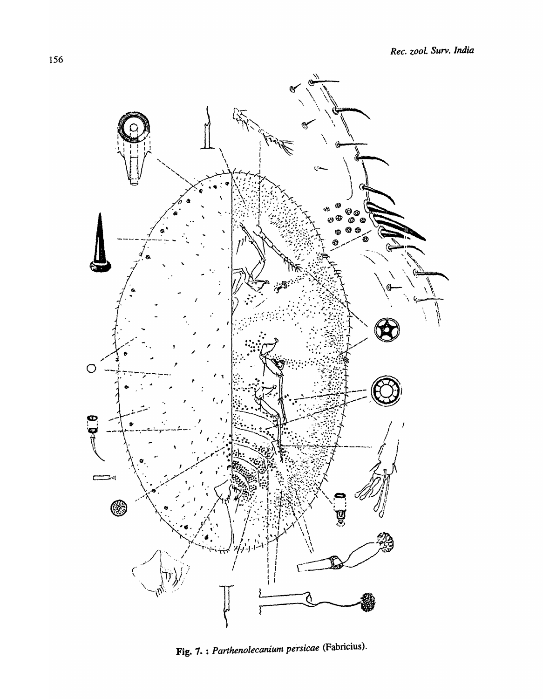

Fig. 7. : Parthenolecanium persicae (Fabricius).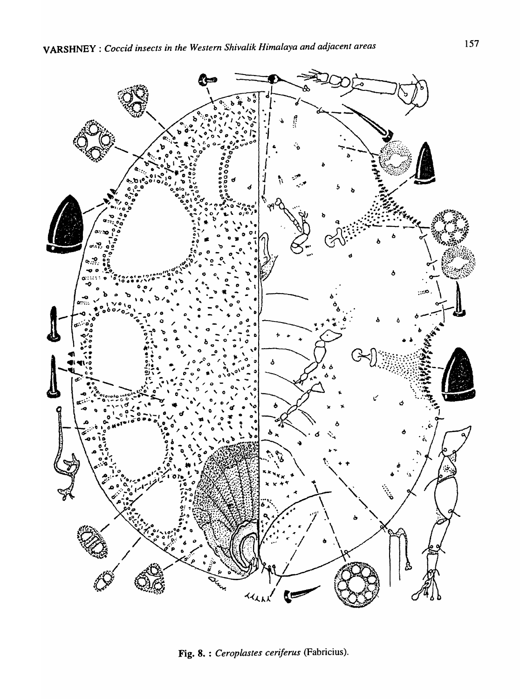

Fig. 8. : Ceroplastes ceriferus (Fabricius).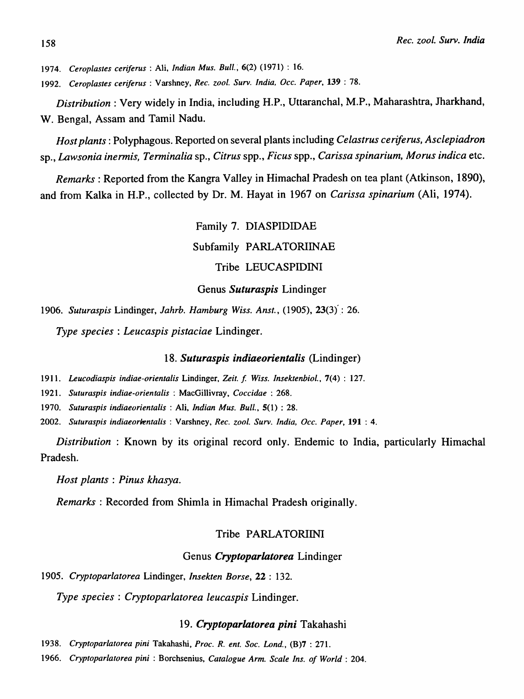*1974. Ceroplastes ceriferus* : Ali. *Indian Mus.* Bull.~ 6(2) (1971) : 16.

*1992. Ceroplastes ceriferus* : Varshney. *Rec. zool. Surv. India. Dcc. Paper.* 139 : 78.

*Distribution:* Very widely in India, including H.P., Uttaranchal, M.P., Maharashtra, Iharkhand, W. Bengal, Assam and Tamil Nadu.

*Host plants:* Polyphagous. Reported on several plants including *Celastrus ceriferus, Asclepiadron*  sp., *Lawsonia inermis, Terminalia* sp., *Citrus* spp., *Ficus* spp., *Carissa spinarium, Morus indica* etc.

*Remarks* : Reported from the Kangra Valley in Himachal Pradesh on tea plant (Atkinson, 1890), and from Kalka in H.P., collected by Dr. M. Hayat in 1967 on *Carissa spinarium* (Ali, 1974).

> Family 7. DIASPIDIDAE Subfamily PARLATORIINAE Tribe LEUCASPIDINI

Genus *Suturaspis* Lindinger

*1906. Suturaspis* Lindinger, *lahrb. Hamburg Wiss. Anst.,* (1905), 23(3)': 26.

*Type species* : *Leucaspis pistaciae* Lindinger.

*18. Suturaspis indiaeorientalis* (Lindinger)

*1911. Leucodiaspis indiae-orientalis* Lindinger, *Zeit.* f *Wiss. Insektenbiol.,* 7(4) : 127.

*1921. Suturaspis indiae-orientalis* : MacGillivray, *Coecidae* : 268.

*1970. Suturaspis indiaeorientalis* : Ali, *Indian Mus. Bull.,* 5(1) : 28.

*2002. Suturaspis* indiaeor~ntalis : Varshney, *Ree. zoo* I. *Surv. India, Dec. Paper,* 191 : 4.

*Distribution:* Known by its original record only. Endemic to India, particularly Himachal Pradesh.

*Host plants: Pinus khasya.* 

*Remarks* : Recorded from Shimla in Himachal Pradesh originally.

## Tribe PARLATORIINI

## Genus *Cryptopariatorea* Lindinger

*1905. Cryptoparlatorea* Lindinger, *Insekten Borse,* 22 : 132.

*Type species: Cryptoparlatorea leucaspis* Lindinger.

#### *19. Cryptoparlatorea pini* Takahashi

*1938. Cryptoparlatorea pini* Takahashi, *Proc. R. ent. Soc. Lond.,* (B)7 : 271.

1966. *Cryptopa ria to rea pini* : Borchsenius, *Catalogue Arm. Scale Ins. of World* : 204.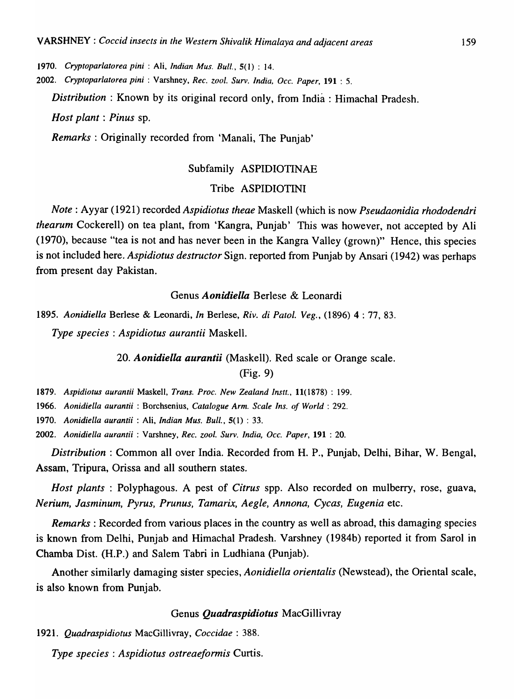*1970. Cryptoparlatorea pini* : Ali, *Indian Mus. Bull.,* 5(1) : 14.

*2002. Cryptoparlatorea pini* : Varshney, *Rec. zoo/. Surv. India, Dcc. Paper,* 191 : 5.

*Distribution* : Known by its original record only, from India : Himachal Pradesh.

*Host plant: Pinus* sp.

*Remarks:* Originally recorded from 'Manali, The Punjab'

## Subfamily ASPIDIOTINAE

## Tribe ASPIDIOTINI

*Note:* Ayyar (1921) recorded *Aspidiotus theae* Maskell (which is now *Pseudaonidia rhododendri thearum* Cockerell) on tea plant, from 'Kangra, Punjab' This was however, not accepted by Ali (1970), because "tea is not and has never been in the Kangra Valley (grown)" Hence, this species is not included here. *Aspidiotus destructor* Sign. reported from Punjab by Ansari (1942) was perhaps from present day Pakistan.

## Genus *Aonidiella* Berlese & Leonardi

*1895. Aonidiella* Berlese & Leonardi, *In* Berlese, *Riv. di Patol. Veg.,* (1896) 4 : 77, 83. *Type species* : *Aspidiotus aurantii* Maskell.

*20. Aonidiella aurantii* (Maskell). Red scale or Orange scale.

(Fig. 9)

*1879. Aspidiotus aurantii* Maskell, *Trans. Proc. New Zealand Instt.,* 11(1878) : 199.

*1966. Aonidiella aurantii* : Borchsenius, *Catalogue Arm. Scale Ins. of World: 292.* 

*1970. Aonidiella aurantii* : Ali, *Indian Mus. Bull.,* 5(1) : 33.

*2002. Aonidiella aurantii* : Varshney, *Rec. zoo/. Surv. India, Dcc. Paper,* 191 : 20.

*Distribution:* Common all over India. Recorded from H. P., Punjab, Delhi, Bihar, W. Bengal, Assam, Tripura, Orissa and all southern states.

*Host plants* : Polyphagous. A pest of *Citrus* spp. Also recorded on mulberry, rose, guava, *Nerium, Jasminum, Pyrus, Prunus, Tamarix, Aegle, Annona, Cycas, Eugenia* etc.

*Remarks:* Recorded from various places in the country as well as abroad, this damaging species is known from Delhi, Punjab and Himachal Pradesh. Varshney (1984b) reported it from Sarol in Chamba Dist. (H.P.) and Salem Tabri in Ludhiana (Punjab).

Another similarly damaging sister species, *Aonidiella orientalis* (Newstead), the Oriental scale, is also known from Punjab.

## Genus *Quadraspidiotus* MacGillivray

*1921.* Q~raspidiotus MacGillivray, *Coccidae* : 388.

*Type species: Aspidiotus ostreaeformis* Curtis.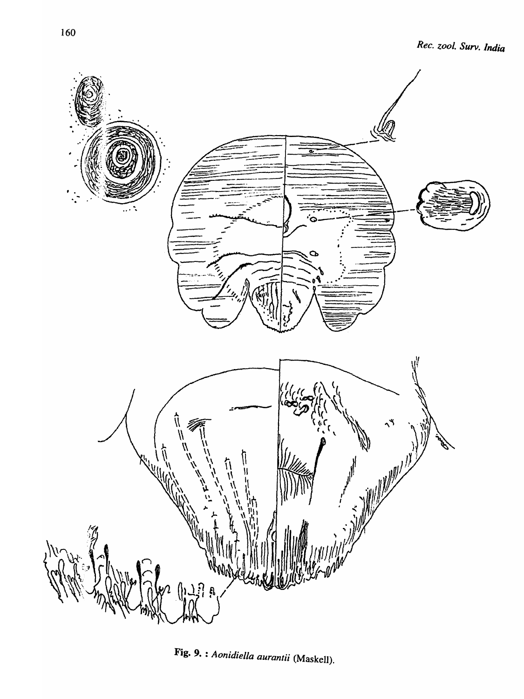

Fig. 9. : *Aonidiella aurantii* (Maskell).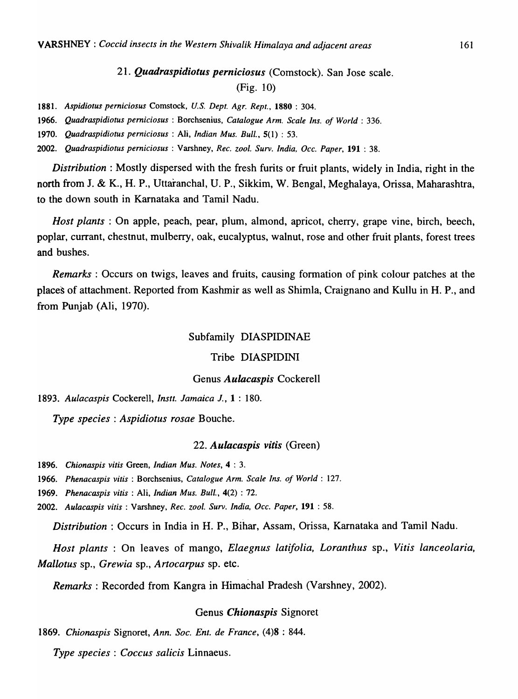## *21. Quadraspidiotus perniciosus* (Comstock). San Jose scale. (Fig. 10)

1881. *Aspidiotus perniciosus* Comstock, *U.S. Dept. Agr. Rept.,* 1880 : 304.

1966. *Quadraspidiotus pemiciosus* : Borchsenius, *Catalogue Arm. Scale Ins. of World* : 336.

1970. *Quadraspidiotus perniciosus* : Ali, *Indian Mus. Bull .•* 5(1) : 53.

2002. *Quadraspidiotus pemiciosus* : Varshney, *Rec. zool. Surv. India. Occ. Paper,* 191 : 38.

*Distribution:* Mostly dispersed with the fresh furits or fruit plants, widely in India, right in the north from J. & K., H. P., Uttaranchal, U. P., Sikkim, W. Bengal, Meghalaya, Orissa, Maharashtra, to the down south in Karnataka and Tamil Nadu.

*Host plants* : On apple, peach, pear, plum, almond, apricot, cherry, grape vine, birch, beech, poplar, currant, chestnut, mulberry, oak, eucalyptus, walnut, rose and other fruit plants, forest trees and bushes.

*Remarks*: Occurs on twigs, leaves and fruits, causing formation of pink colour patches at the places of attachment. Reported from Kashmir as well as Shimla, Craignano and Kullu in H. P., and from Punjab (Ali, 1970).

## Subfamily DIASPIDINAE

#### Tribe DIASPIDINI

#### Genus *Aulacaspis* Cockerell

*1893. Aulacaspis* Cockerell, *Instt. Jamaica J.,* 1 : 180.

*Type species: Aspidiotus rosae* Bouche.

#### *22. Aulacaspis vitis* (Green)

1896. *Chionaspis vitis* Green, *Indian Mus. Notes,* 4 : 3.

1966. *Phenacaspis vitis* : Borchsenius, *Catalogue Arm. Scale Ins. of World: 127.* 

1969. *Phenacaspis vilis:* Ali, *Indian Mus. Bull.,* 4(2) : 72.

2002. *Aulacaspis vilis:* Varshney, *Rec. zoot. Surv. India, Dcc. Paper,* 191 : 58.

*Distribution:* Occurs in India in H. P., Bihar, Assam, Orissa, Karnataka and Tamil Nadu.

*Host plants* : On leaves of mango, *Elaegnus latifolia, Loranthus* sp., *Vitis lanceolaria, Mallotus* sp., *Grewia* sp., *Artocarpus* sp. etc.

*Remarks:* Recorded from Kangra in Himachal Pradesh (Varshney, 2002).

## Genus *Chionaspis* Signoret

*1869. Chionaspis* Signoret, *Ann. Soc. Ent. de France,* (4)8 : 844.

*Type species: Coccus salicis* Linnaeus.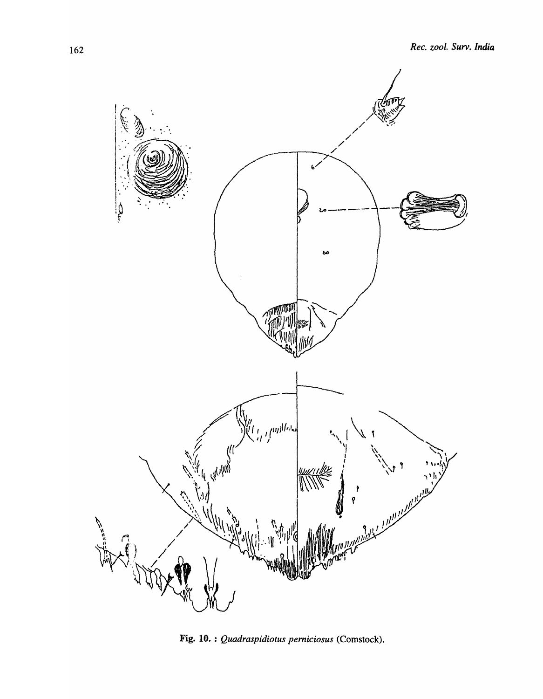

Fig. 10. : *Quadraspidiotus pemiciosus* (Comstock).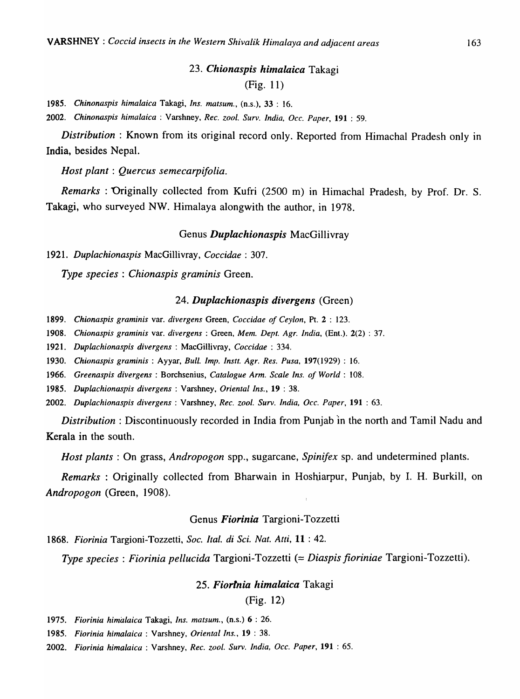## *23. Chionaspis himalaica* Takagi (Fig. 11)

*1985. Chinonaspis himalaica* Takagi, *Ins. matsum.,* (n.s.), 33 : 16.

*2002. Chinonaspis himalaica* : Varshney, *Rec. zoo I. Surv. India. Dcc. Paper,* 191 : 59.

*Distribution:* Known from its original record only. Reported from Himachal Pradesh only in India, besides Nepal.

*Host plant: Quercus semecarpifolia.* 

*Remarks* : Originally collected from Kufri (2500 m) in Himachal Pradesh, by Prof. Dr. S. Takagi, who surveyed NW. Himalaya alongwith the author, in 1978.

## Genus *Duplachionaspis* MacGillivray

*1921. Duplachionaspis* MacGillivray, *Coccidae* : 307.

*Type species: Chionaspis graminis* Green.

#### *24. Duplachionaspis divergens* (Green)

*1899. Chionaspis graminis* var. *divergens* Green, *Coccidae of Ceylon,* Pt. 2 : 123.

*1908. Chionaspis graminis* var. *divergens* : Green, *Mem. Dept. Agr. India,* (Ent.). 2(2) : 37.

*1921. Dup/achionaspis divergens* : MacGillivray, *Coccidae* : 334.

*1930. Chionaspis graminis* : Ayyar, *Bull. Imp. Instt. Agr. Res. Pusa,* 197(1929) : 16.

*1966. Greenaspis divergens* : Borchsenius, *Catalogue Arm. Scale Ins. of World: 108.* 

*1985. Duplachionaspis divergens* : Varshney, *Oriental Ins.,* 19 : 38.

*2002. Duplachionaspis divergens* : Varshney, *Rec. zool. Surv. India, Oec. Paper,* 191 : 63.

*Distribution:* Discontinuously recorded in India from Punjab 'in the north and Tamil Nadu and Kerala in the south.

*Host plants:* On grass, *Andropogon* spp., sugarcane, *Spinifex* sp. and undetermined plants.

*Remarks* : Originally collected from Bharwain in Hoshiarpur, Punjab, by I. H. Burkill, on *Andropogon* (Green, 1908).

#### Genus *Fiorinia* Targioni-Tozzetti

*1868. Fiorinia* Targioni-Tozzetti, *Soc. Ital. di Sci. Nat. Aui,* **11** : 42.

*Type species: Fiorinia pellucida* Targioni-Tozzetti (= *Diaspis jioriniae* Targioni-Tozzetti).

## *25. Fiorlnia himalaica* Takagi

(Fig. 12)

*1975. Fiorinia himalaica* Takagi, *Ins. matsum.,* (n.s.) 6 : 26.

*1985. Fiorinia himalaica* : Varshney, *Oriental Ins.,* 19 : 38.

*2002. Fiorinia himalaica* : Varshney, *Rec. zool. Surv. India. Occ. Paper,* 191 : 65.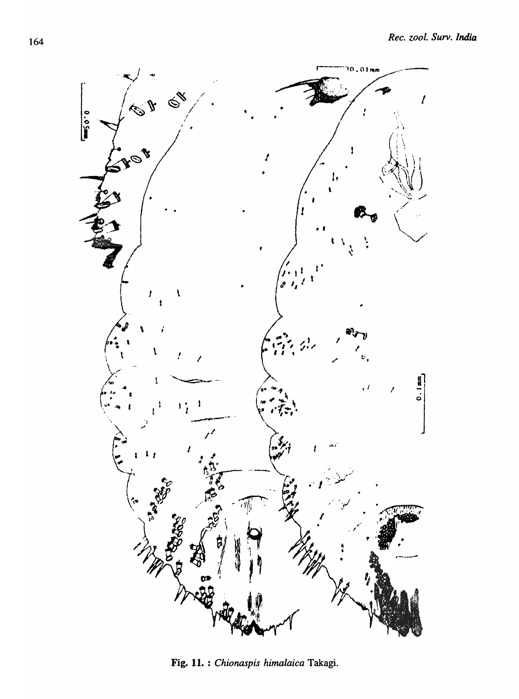

Fig. 11. : Chionaspis himalaica Takagi.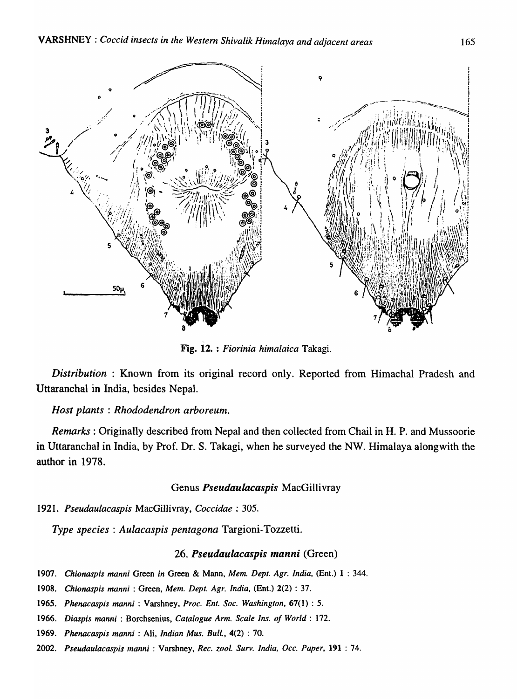

Fig. 12. : *Fiorinia himalaica* Takagi.

*Distribution* : Known from its original record only. Reported from Himachal Pradesh and Uttaranchal in India, besides Nepal.

## *Host plants* : *Rhododendron arboreum.*

*Remarks:* Originally described from Nepal and then collected from Chail in H. P. and Mussoorie in Uttaranchal in India, by Prof. Dr. S. Takagi, when he surveyed the NW. Himalaya alongwith the author in 1978.

#### Genus *Pseudaulacaspis* MacGillivray

*1921. Pseudaulacaspis* MacGillivray, *Coccidae* : 305.

*Type species: Aulacaspis pentagona* Targioni-Tozzetti.

## *26. Pseudaulacaspis manni* (Green)

- *1907. Chionaspis manni* Green *in* Green & Mann, *Mem. Dept. Agr. India,* (Ent.) 1 : 344.
- *1908. Chionaspis manni* : Green, *Mem. Dept. Agr. India,* (Ent.) 2(2) : 37.
- *1965. Phenacaspis manni* : Varshney, *Proc. Ent. Soc. Washington,* 67(1) : 5.
- *1966. Diaspis manni* : Borchsenius, *Catalogue Arm. Scale Ins. of World: 172.*
- *1969. Phenacasp;s mann;* : Ali, *Indian Mus. Bull.,* 4(2) : 70.
- *2002. Pseudaulacaspis manni* : Varshney, *Rec. zool. Surv. India, Dcc. Paper,* 191 : 74.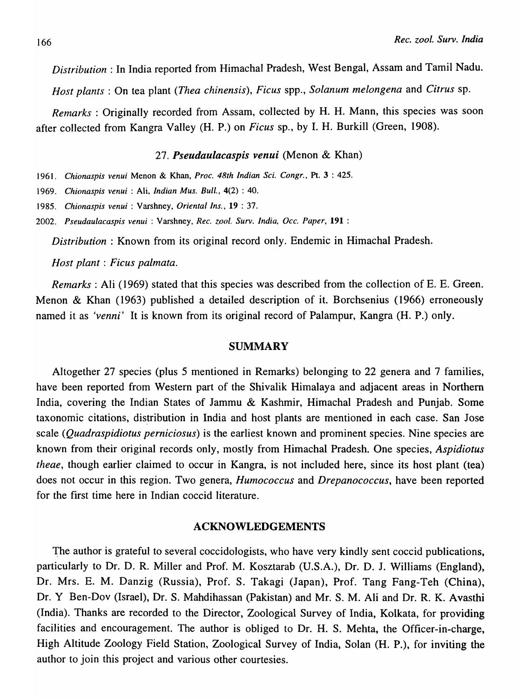*Distribution:* In India reported from Himachal Pradesh, West Bengal, Assam and Tamil Nadu.

*Host plants:* On tea plant *(Thea chinensis), Ficus* spp., *Solanum melongena* and *Citrus* sp.

*Remarks* : Originally recorded from Assam, collected by H. H. Mann, this species was soon after collected from Kangra Valley (H. P.) on *Ficus* sp., by I. H. Burkill (Green, 1908).

## *27. Pseudaulacaspis venui* (Menon & Khan)

1961. *Chionaspis venui* Menon & Khan, *Proc. 48th Indian Sci. Congr.,* Pt. 3 : 425.

1969. *Chionaspis venui* : Ali, *Indian Mus. Bull.,* 4(2) : 40.

1985. *Chionaspis venui* : Varshney, *Oriental Ins.,* 19 : 37.

*2002. Pseudaulacaspis venui* : Varshney, *Rec. zoo/. Surv. India, Occ. Paper,* 191 :

*Distribution* : Known from its original record only. Endemic in Himachal Pradesh.

*Host plant: Ficus palmata.* 

*Remarks:* Ali (1969) stated that this species was described from the collection of E. E. Green. Menon & Khan (1963) published a detailed description of it. Borchsenius (1966) erroneously named it as *'venni'* It is known from its original record of Palampur, Kangra (H. P.) only.

#### SUMMARY

Altogether 27 species (plus 5 mentioned in Remarks) belonging to 22 genera and 7 families, have been reported from Western part of the Shivalik Himalaya and adjacent areas in Northern India, covering the Indian States of Jammu & Kashmir, Himachal Pradesh and Punjab. Some taxonomic citations, distribution in India and host plants are mentioned in each case. San Jose scale *(Quadraspidiotus perniciosus)* is the earliest known and prominent species. Nine species are known from their original records only, mostly from Himachal Pradesh. One species, *Aspidiotus theae,* though earlier claimed to occur in Kangra, is not included here, since its host plant (tea) does not occur in this region. Two genera, *Humococcus* and *Drepanococcus,* have been reported for the first time here in Indian coccid literature.

## ACKNOWLEDGEMENTS

The author is grateful to several coccidologists, who have very kindly sent coccid publications, particularly to Dr. D. R. Miller and Prof. M. Kosztarab (U.S.A.), Dr. D. J. Williams (England), Dr. Mrs. E. M. Danzig (Russia), Prof. S. Takagi (Japan), Prof. Tang Fang-Teh (China), Dr. Y Ben-Dov (Israel), Dr. S. Mahdihassan (Pakistan) and Mr. S. M. Ali and Dr. R. K. Avasthi (India). Thanks are recorded to the Director, Zoological Survey of India, Kolkata, for providing facilities and encouragement. The author is obliged to Dr. H. S. Mehta, the Officer-in-charge, High Altitude Zoology Field Station, Zoological Survey of India, Solan (H. P.), for inviting the author to join this project and various other courtesies.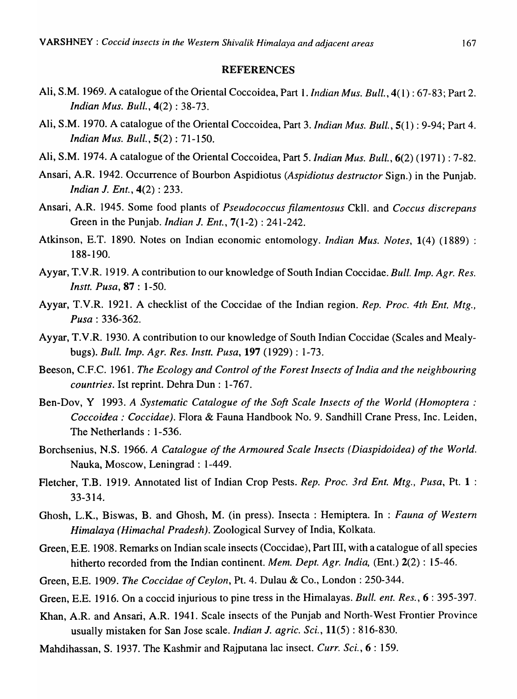#### REFERENCES

- Ali, S.M. 1969. A catalogue of the Oriental Coccoidea, Part 1. *Indian Mus. Bull.,* 4(1) : 67-83; Part 2. *Indian Mus. Bull.,* 4(2) : 38-73.
- Ali, S.M. 1970. A catalogue of the Oriental Coccoidea, Part 3. *Indian Mus. Bull.,* 5(1) : 9-94; Part 4. *Indian Mus. Bull.,* 5(2) : 71-150.
- Ali, S.M. 1974. A catalogue of the Oriental Coccoidea, Part 5. *Indian Mus. Bull.,* 6(2) (1971) : 7-82.
- Ansari, A.R. 1942. Occurrence of Bourbon Aspidiotus *(Aspidiotus destructor* Sign.) in the Punjab. *Indian J. Ent.,* 4(2): 233.
- Ansari, A.R. 1945. Some food plants of *Pseudococcus Jilamentosus* Ckll. and *Coccus discrepans*  Green in the Punjab. *Indian* 1. *Ent.,* 7( 1-2) : 241-242.
- Atkinson, E.T. 1890. Notes on Indian economic entomology. *Indian Mus. Notes,* 1(4) (1889) : 188-190.
- Ayyar, T.V.R. 1919. A contribution to our knowledge of South Indian Coccidae. *Bull. Imp. Agr. Res. Instt. Pusa,* 87 : 1-50.
- Ayyar, T.V.R. 1921. A checklist of the Coccidae of the Indian region. *Rep. Proc. 4th Ent. Mtg., Pusa: 336-362.*
- Ayyar, T.V.R. 1930. A contribution to our knowledge of South Indian Coccidae (Scales and Mealybugs). *Bull. Imp. Agr. Res. Instt. Pusa,* 197 (1929) : 1-73.
- Beeson, C.F.C. 1961. *The Ecology and Control of the Forest Insects of India and the neighbouring countries.* 1st reprint. Dehra Dun: 1-767.
- Ben-Dov, Y 1993. *A Systematic Catalogue of the Soft Scale Insects of the World (Homoptera : Coccoidea: Coccidae).* Flora & Fauna Handbook No.9. Sandhill Crane Press, Inc. Leiden, The Netherlands: 1-536.
- Borchsenius, N.S. 1966. *A Catalogue of the Armoured Scale Insects (Diaspidoidea) of the World.*  Nauka, Moscow, Leningrad: 1-449.
- Fletcher, T.B. 1919. Annotated list of Indian Crop Pests. *Rep. Proc. 3rd Ent. Mtg., Pusa,* Pt. 1 : 33-314.
- Ghosh, L.K., Biswas, B. and Ghosh, M. (in press). Insecta: Hemiptera. In : *Fauna of Western Himalaya (Himachal Pradesh).* Zoological Survey of India, Kolkata.
- Green;E.E. 1908. Remarks on Indian scale insects (Coccidae), Part III, with a catalogue of all species hitherto recorded from the Indian continent. *Mem. Dept. Agr. India,* (Ent.) 2(2) : 15-46.
- Green, E.E. 1909. *The Coccidae of Ceylon*, Pt. 4. Dulau & Co., London: 250-344.
- Green, E.E. 1916. On a coccid injurious to pine tress in the Himalayas. *Bull. ent. Res.*, 6: 395-397.
- Khan, A.R. and Ansari, A.R. 1941. Scale insects of the Punjab and North-West Frontier Province usually mistaken for San Jose scale. *Indian* 1. *agric. Sci.,* 11(5) : 816-830.
- Mahdihassan, S. 1937. The Kashmir and Rajputana lac insect. *Curr. Sci.*, 6:159.